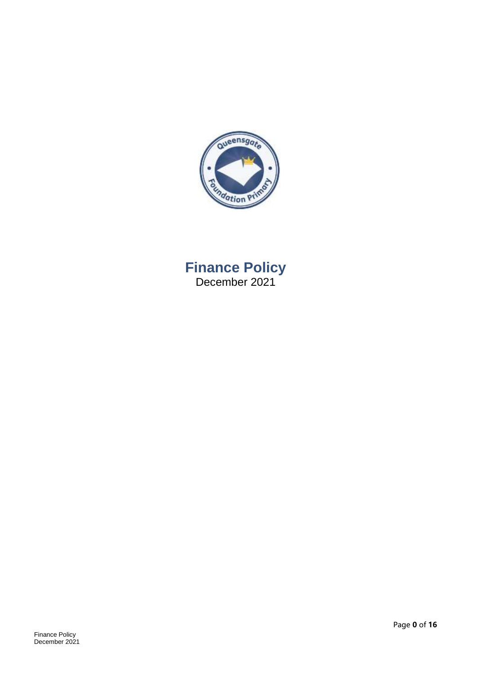

# **Finance Policy** December 2021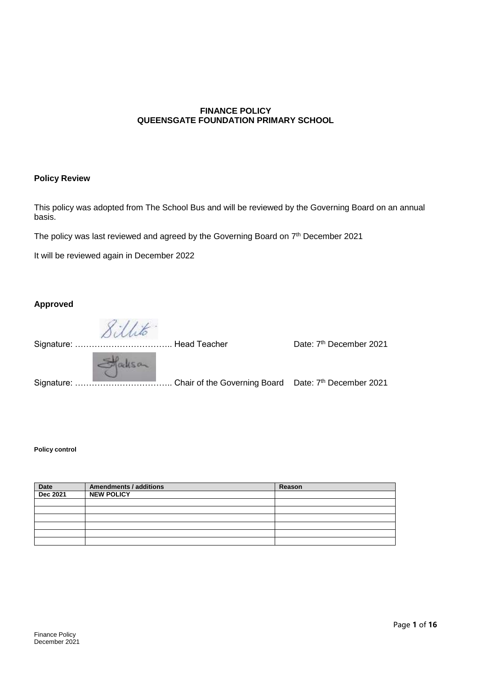#### **FINANCE POLICY QUEENSGATE FOUNDATION PRIMARY SCHOOL**

#### **Policy Review**

This policy was adopted from The School Bus and will be reviewed by the Governing Board on an annual basis.

The policy was last reviewed and agreed by the Governing Board on 7<sup>th</sup> December 2021

It will be reviewed again in December 2022

#### **Approved**

8 illito

|          | Signature: ……………………………… Head Teacher | Date: 7 <sup>th</sup> December 2021 |
|----------|--------------------------------------|-------------------------------------|
| Stalisan |                                      |                                     |
|          |                                      |                                     |

#### **Policy control**

| <b>Date</b>     | <b>Amendments / additions</b> | Reason |
|-----------------|-------------------------------|--------|
| <b>Dec 2021</b> | <b>NEW POLICY</b>             |        |
|                 |                               |        |
|                 |                               |        |
|                 |                               |        |
|                 |                               |        |
|                 |                               |        |
|                 |                               |        |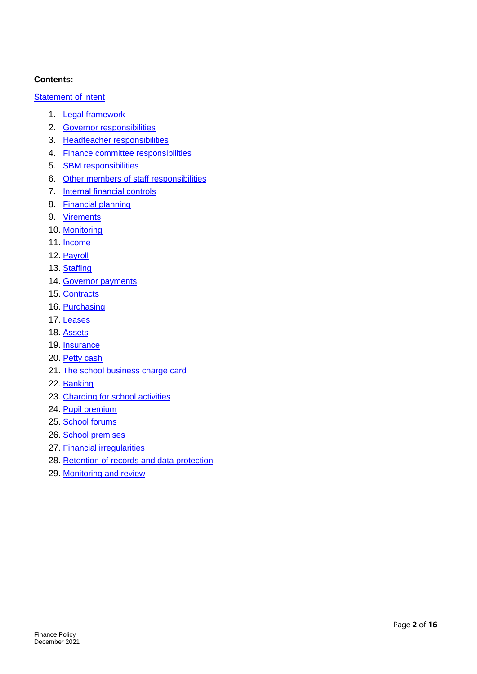#### **Contents:**

#### [Statement of intent](#page-3-0)

- 1. [Legal framework](#page-4-0)
- 2. [Governor responsibilities](#page-4-0)
- 3. [Headteacher responsibilities](#page-5-0)
- 4. [Finance committee responsibilities](#page-5-1)
- 5. [SBM responsibilities](#page-5-2)
- 6. [Other members of staff responsibilities](#page-6-0)
- 7. [Internal financial controls](#page-6-1)
- 8. [Financial planning](#page-8-0)
- 9. [Virements](#page-10-0)
- 10. [Monitoring](#page-10-1)
- 11. [Income](#page-10-2)
- 12. [Payroll](#page-10-3)
- 13. [Staffing](#page-10-4)
- 14. [Governor payments](#page-11-0)
- 15. [Contracts](#page-11-1)
- 16. [Purchasing](#page-11-2)
- 17. [Leases](#page-12-0)
- 18. [Assets](#page-12-1)
- 19. [Insurance](#page-12-2)
- 20. [Petty cash](#page-12-3)
- 21. [The school business charge card](#page-13-0)
- 22. [Banking](#page-13-1)
- 23. [Charging for school activities](#page-13-1)
- 24. [Pupil premium](#page-14-0)
- 25. [School forums](#page-15-0)
- 26. [School premises](#page-15-1)
- 27. [Financial irregularities](#page-15-2)
- 28. [Retention of records and data protection](#page-15-3)
- 29. [Monitoring and review](#page-15-4)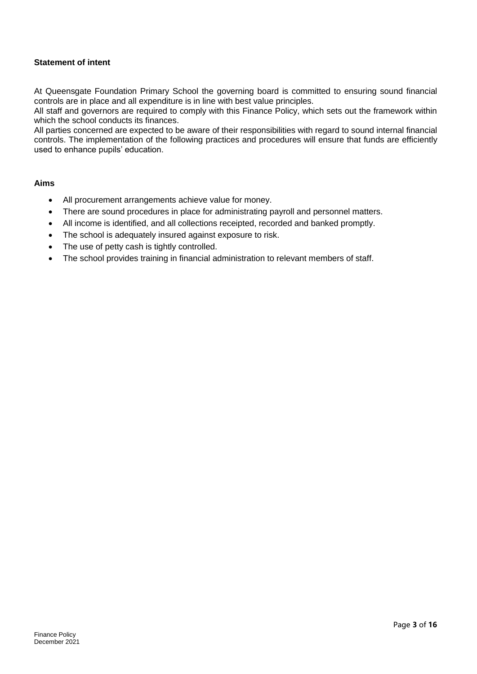#### <span id="page-3-0"></span>**Statement of intent**

At Queensgate Foundation Primary School the governing board is committed to ensuring sound financial controls are in place and all expenditure is in line with best value principles.

All staff and governors are required to comply with this Finance Policy, which sets out the framework within which the school conducts its finances.

All parties concerned are expected to be aware of their responsibilities with regard to sound internal financial controls. The implementation of the following practices and procedures will ensure that funds are efficiently used to enhance pupils' education.

#### **Aims**

- All procurement arrangements achieve value for money.
- There are sound procedures in place for administrating payroll and personnel matters.
- All income is identified, and all collections receipted, recorded and banked promptly.
- The school is adequately insured against exposure to risk.
- The use of petty cash is tightly controlled.
- The school provides training in financial administration to relevant members of staff.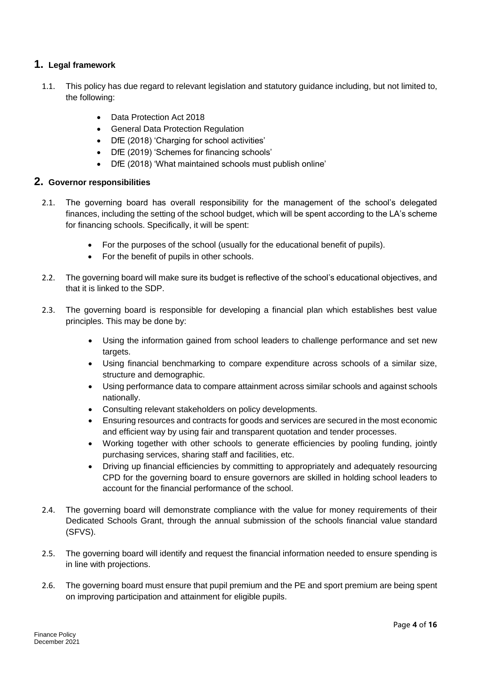# <span id="page-4-0"></span>**1. Legal framework**

- 1.1. This policy has due regard to relevant legislation and statutory guidance including, but not limited to, the following:
	- Data Protection Act 2018
	- **•** General Data Protection Regulation
	- DfE (2018) 'Charging for school activities'
	- DfE (2019) 'Schemes for financing schools'
	- DfE (2018) 'What maintained schools must publish online'

#### **2. Governor responsibilities**

- 2.1. The governing board has overall responsibility for the management of the school's delegated finances, including the setting of the school budget, which will be spent according to the LA's scheme for financing schools. Specifically, it will be spent:
	- For the purposes of the school (usually for the educational benefit of pupils).
	- For the benefit of pupils in other schools.
- 2.2. The governing board will make sure its budget is reflective of the school's educational objectives, and that it is linked to the SDP.
- 2.3. The governing board is responsible for developing a financial plan which establishes best value principles. This may be done by:
	- Using the information gained from school leaders to challenge performance and set new targets.
	- Using financial benchmarking to compare expenditure across schools of a similar size, structure and demographic.
	- Using performance data to compare attainment across similar schools and against schools nationally.
	- Consulting relevant stakeholders on policy developments.
	- Ensuring resources and contracts for goods and services are secured in the most economic and efficient way by using fair and transparent quotation and tender processes.
	- Working together with other schools to generate efficiencies by pooling funding, jointly purchasing services, sharing staff and facilities, etc.
	- Driving up financial efficiencies by committing to appropriately and adequately resourcing CPD for the governing board to ensure governors are skilled in holding school leaders to account for the financial performance of the school.
- 2.4. The governing board will demonstrate compliance with the value for money requirements of their Dedicated Schools Grant, through the annual submission of the schools financial value standard (SFVS).
- 2.5. The governing board will identify and request the financial information needed to ensure spending is in line with projections.
- 2.6. The governing board must ensure that pupil premium and the PE and sport premium are being spent on improving participation and attainment for eligible pupils.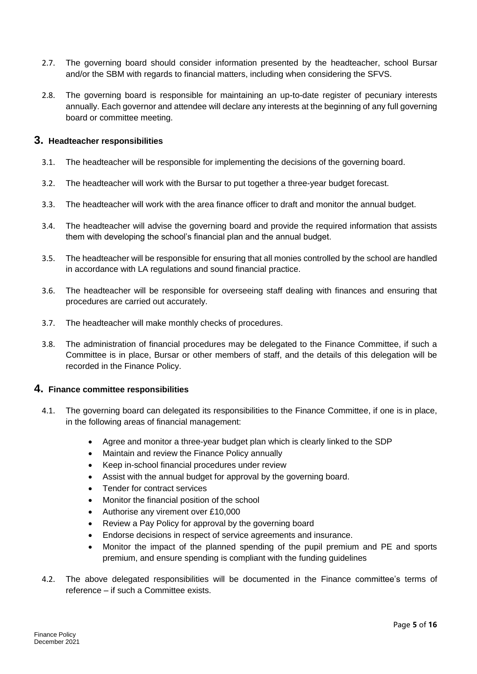- 2.7. The governing board should consider information presented by the headteacher, school Bursar and/or the SBM with regards to financial matters, including when considering the SFVS.
- 2.8. The governing board is responsible for maintaining an up-to-date register of pecuniary interests annually. Each governor and attendee will declare any interests at the beginning of any full governing board or committee meeting.

#### <span id="page-5-0"></span>**3. Headteacher responsibilities**

- 3.1. The headteacher will be responsible for implementing the decisions of the governing board.
- 3.2. The headteacher will work with the Bursar to put together a three-year budget forecast.
- 3.3. The headteacher will work with the area finance officer to draft and monitor the annual budget.
- 3.4. The headteacher will advise the governing board and provide the required information that assists them with developing the school's financial plan and the annual budget.
- 3.5. The headteacher will be responsible for ensuring that all monies controlled by the school are handled in accordance with LA regulations and sound financial practice.
- 3.6. The headteacher will be responsible for overseeing staff dealing with finances and ensuring that procedures are carried out accurately.
- 3.7. The headteacher will make monthly checks of procedures.
- 3.8. The administration of financial procedures may be delegated to the Finance Committee, if such a Committee is in place, Bursar or other members of staff, and the details of this delegation will be recorded in the Finance Policy.

#### <span id="page-5-1"></span>**4. Finance committee responsibilities**

- 4.1. The governing board can delegated its responsibilities to the Finance Committee, if one is in place, in the following areas of financial management:
	- Agree and monitor a three-year budget plan which is clearly linked to the SDP
	- Maintain and review the Finance Policy annually
	- Keep in-school financial procedures under review
	- Assist with the annual budget for approval by the governing board.
	- Tender for contract services
	- Monitor the financial position of the school
	- Authorise any virement over £10,000
	- Review a Pay Policy for approval by the governing board
	- Endorse decisions in respect of service agreements and insurance.
	- Monitor the impact of the planned spending of the pupil premium and PE and sports premium, and ensure spending is compliant with the funding guidelines
- <span id="page-5-2"></span>4.2. The above delegated responsibilities will be documented in the Finance committee's terms of reference – if such a Committee exists.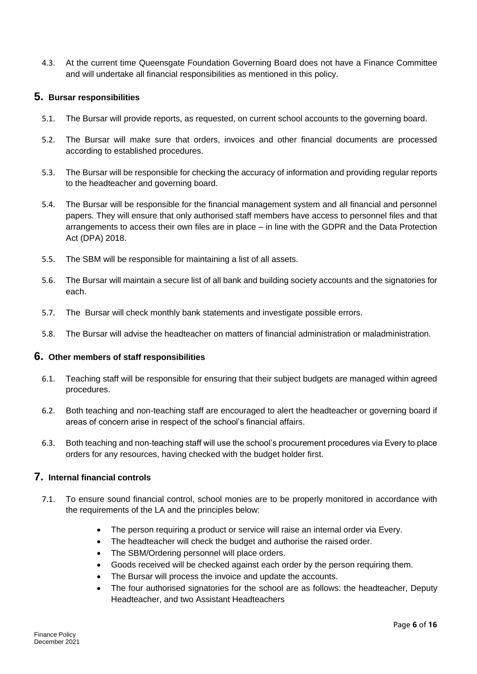4.3. At the current time Queensgate Foundation Governing Board does not have a Finance Committee and will undertake all financial responsibilities as mentioned in this policy.

#### **5. Bursar responsibilities**

- 5.1. The Bursar will provide reports, as requested, on current school accounts to the governing board.
- 5.2. The Bursar will make sure that orders, invoices and other financial documents are processed according to established procedures.
- 5.3. The Bursar will be responsible for checking the accuracy of information and providing regular reports to the headteacher and governing board.
- 5.4. The Bursar will be responsible for the financial management system and all financial and personnel papers. They will ensure that only authorised staff members have access to personnel files and that arrangements to access their own files are in place – in line with the GDPR and the Data Protection Act (DPA) 2018.
- 5.5. The SBM will be responsible for maintaining a list of all assets.
- 5.6. The Bursar will maintain a secure list of all bank and building society accounts and the signatories for each.
- 5.7. The Bursar will check monthly bank statements and investigate possible errors.
- 5.8. The Bursar will advise the headteacher on matters of financial administration or maladministration.

#### <span id="page-6-0"></span>**6. Other members of staff responsibilities**

- 6.1. Teaching staff will be responsible for ensuring that their subject budgets are managed within agreed procedures.
- 6.2. Both teaching and non-teaching staff are encouraged to alert the headteacher or governing board if areas of concern arise in respect of the school's financial affairs.
- 6.3. Both teaching and non-teaching staff will use the school's procurement procedures via Every to place orders for any resources, having checked with the budget holder first.

# <span id="page-6-1"></span>**7. Internal financial controls**

- 7.1. To ensure sound financial control, school monies are to be properly monitored in accordance with the requirements of the LA and the principles below:
	- The person requiring a product or service will raise an internal order via Every.
	- The headteacher will check the budget and authorise the raised order.
	- The SBM/Ordering personnel will place orders.
	- Goods received will be checked against each order by the person requiring them.
	- The Bursar will process the invoice and update the accounts.
	- The four authorised signatories for the school are as follows: the headteacher, Deputy Headteacher, and two Assistant Headteachers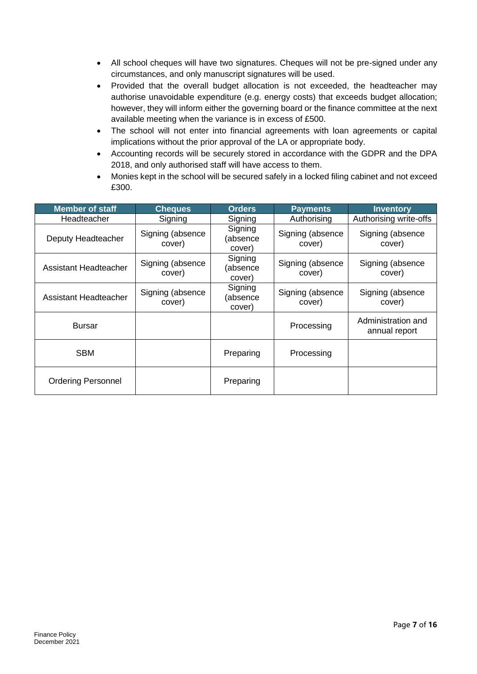- All school cheques will have two signatures. Cheques will not be pre-signed under any circumstances, and only manuscript signatures will be used.
- Provided that the overall budget allocation is not exceeded, the headteacher may authorise unavoidable expenditure (e.g. energy costs) that exceeds budget allocation; however, they will inform either the governing board or the finance committee at the next available meeting when the variance is in excess of £500.
- The school will not enter into financial agreements with loan agreements or capital implications without the prior approval of the LA or appropriate body.
- Accounting records will be securely stored in accordance with the GDPR and the DPA 2018, and only authorised staff will have access to them.
- Monies kept in the school will be secured safely in a locked filing cabinet and not exceed £300.

| <b>Member of staff</b>    | <b>Cheques</b>             | <b>Orders</b>                 | <b>Payments</b>            | <b>Inventory</b>                    |
|---------------------------|----------------------------|-------------------------------|----------------------------|-------------------------------------|
| Headteacher               | Signing                    | Signing                       | Authorising                | Authorising write-offs              |
| Deputy Headteacher        | Signing (absence<br>cover) | Signing<br>(absence<br>cover) | Signing (absence<br>cover) | Signing (absence<br>cover)          |
| Assistant Headteacher     | Signing (absence<br>cover) | Signing<br>(absence<br>cover) | Signing (absence<br>cover) | Signing (absence<br>cover)          |
| Assistant Headteacher     | Signing (absence<br>cover) | Signing<br>(absence<br>cover) | Signing (absence<br>cover) | Signing (absence<br>cover)          |
| <b>Bursar</b>             |                            |                               | Processing                 | Administration and<br>annual report |
| <b>SBM</b>                |                            | Preparing                     | Processing                 |                                     |
| <b>Ordering Personnel</b> |                            | Preparing                     |                            |                                     |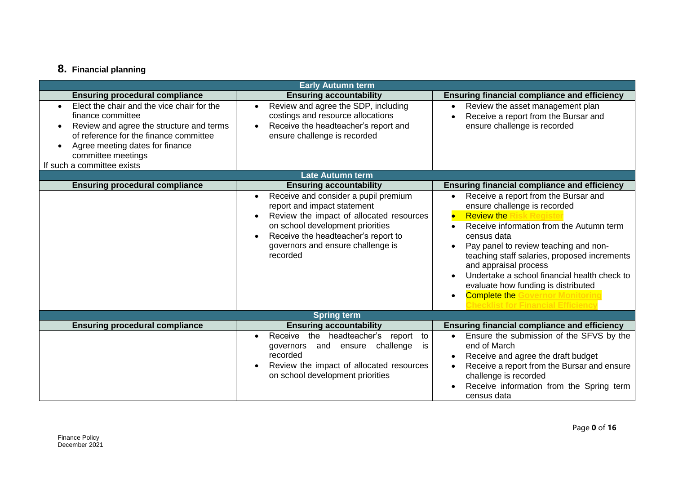# **8. Financial planning**

<span id="page-8-0"></span>

| <b>Early Autumn term</b>                                                                                                                                                                                                                     |                                                                                                                                                                                                                                                                                    |                                                                                                                                                                                                                                                                                                                                                                                                                     |  |  |
|----------------------------------------------------------------------------------------------------------------------------------------------------------------------------------------------------------------------------------------------|------------------------------------------------------------------------------------------------------------------------------------------------------------------------------------------------------------------------------------------------------------------------------------|---------------------------------------------------------------------------------------------------------------------------------------------------------------------------------------------------------------------------------------------------------------------------------------------------------------------------------------------------------------------------------------------------------------------|--|--|
| <b>Ensuring procedural compliance</b>                                                                                                                                                                                                        | <b>Ensuring accountability</b>                                                                                                                                                                                                                                                     | <b>Ensuring financial compliance and efficiency</b>                                                                                                                                                                                                                                                                                                                                                                 |  |  |
| Elect the chair and the vice chair for the<br>finance committee<br>Review and agree the structure and terms<br>of reference for the finance committee<br>Agree meeting dates for finance<br>committee meetings<br>If such a committee exists | Review and agree the SDP, including<br>costings and resource allocations<br>Receive the headteacher's report and<br>ensure challenge is recorded                                                                                                                                   | Review the asset management plan<br>Receive a report from the Bursar and<br>ensure challenge is recorded                                                                                                                                                                                                                                                                                                            |  |  |
|                                                                                                                                                                                                                                              | <b>Late Autumn term</b>                                                                                                                                                                                                                                                            |                                                                                                                                                                                                                                                                                                                                                                                                                     |  |  |
| <b>Ensuring procedural compliance</b>                                                                                                                                                                                                        | <b>Ensuring accountability</b>                                                                                                                                                                                                                                                     | <b>Ensuring financial compliance and efficiency</b>                                                                                                                                                                                                                                                                                                                                                                 |  |  |
|                                                                                                                                                                                                                                              | Receive and consider a pupil premium<br>$\bullet$<br>report and impact statement<br>Review the impact of allocated resources<br>$\bullet$<br>on school development priorities<br>Receive the headteacher's report to<br>$\bullet$<br>governors and ensure challenge is<br>recorded | Receive a report from the Bursar and<br>ensure challenge is recorded<br><b>Review the</b><br>$\bullet$<br>Receive information from the Autumn term<br>census data<br>Pay panel to review teaching and non-<br>teaching staff salaries, proposed increments<br>and appraisal process<br>Undertake a school financial health check to<br>evaluate how funding is distributed<br><b>Complete the Go</b><br>vernor Moni |  |  |
| <b>Spring term</b>                                                                                                                                                                                                                           |                                                                                                                                                                                                                                                                                    |                                                                                                                                                                                                                                                                                                                                                                                                                     |  |  |
| <b>Ensuring procedural compliance</b>                                                                                                                                                                                                        | <b>Ensuring accountability</b>                                                                                                                                                                                                                                                     | <b>Ensuring financial compliance and efficiency</b>                                                                                                                                                                                                                                                                                                                                                                 |  |  |
|                                                                                                                                                                                                                                              | Receive the headteacher's<br>report<br>to<br>$\bullet$<br>challenge<br>and ensure<br>governors<br>is<br>recorded<br>Review the impact of allocated resources<br>on school development priorities                                                                                   | Ensure the submission of the SFVS by the<br>end of March<br>Receive and agree the draft budget<br>Receive a report from the Bursar and ensure<br>challenge is recorded<br>Receive information from the Spring term<br>census data                                                                                                                                                                                   |  |  |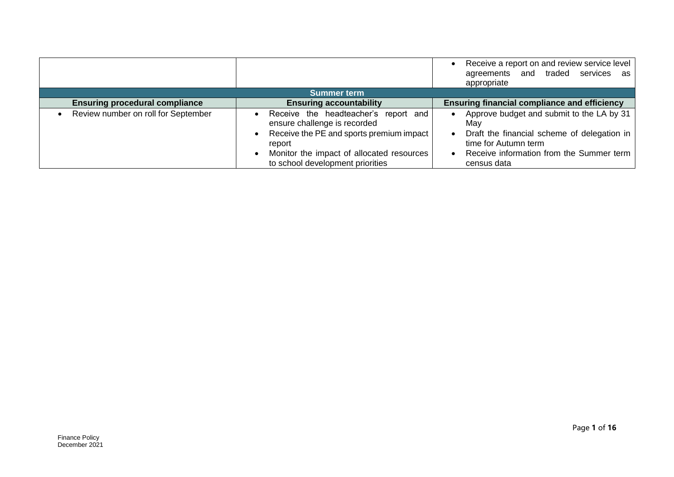|                                       |                                                                                                                                                                                                             | Receive a report on and review service level<br>agreements and traded services<br>as<br>appropriate                                                                                |  |  |
|---------------------------------------|-------------------------------------------------------------------------------------------------------------------------------------------------------------------------------------------------------------|------------------------------------------------------------------------------------------------------------------------------------------------------------------------------------|--|--|
| <b>Summer term</b>                    |                                                                                                                                                                                                             |                                                                                                                                                                                    |  |  |
| <b>Ensuring procedural compliance</b> | <b>Ensuring accountability</b>                                                                                                                                                                              | <b>Ensuring financial compliance and efficiency</b>                                                                                                                                |  |  |
| Review number on roll for September   | Receive the headteacher's report and<br>ensure challenge is recorded<br>Receive the PE and sports premium impact<br>report<br>Monitor the impact of allocated resources<br>to school development priorities | Approve budget and submit to the LA by 31<br>Mav<br>Draft the financial scheme of delegation in<br>time for Autumn term<br>Receive information from the Summer term<br>census data |  |  |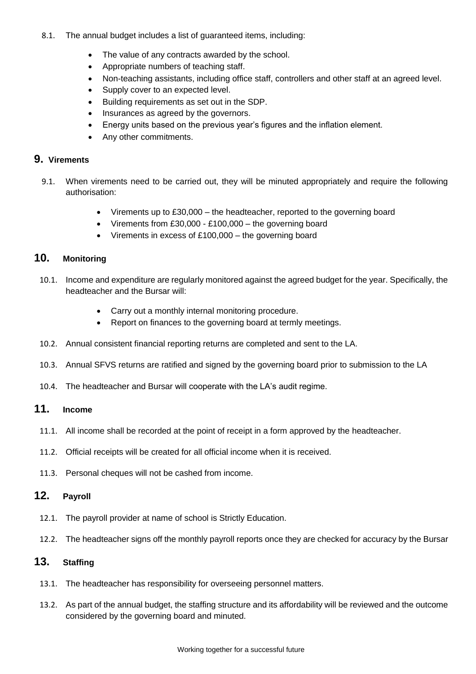- 8.1. The annual budget includes a list of guaranteed items, including:
	- The value of any contracts awarded by the school.
	- Appropriate numbers of teaching staff.
	- Non-teaching assistants, including office staff, controllers and other staff at an agreed level.
	- Supply cover to an expected level.
	- Building requirements as set out in the SDP.
	- Insurances as agreed by the governors.
	- Energy units based on the previous year's figures and the inflation element.
	- Any other commitments.

#### <span id="page-10-0"></span>**9. Virements**

- 9.1. When virements need to be carried out, they will be minuted appropriately and require the following authorisation:
	- Virements up to £30,000 the headteacher, reported to the governing board
	- Virements from  $£30,000 £100,000 -$  the governing board
	- Virements in excess of £100,000 the governing board

# <span id="page-10-1"></span>**10. Monitoring**

- 10.1. Income and expenditure are regularly monitored against the agreed budget for the year. Specifically, the headteacher and the Bursar will:
	- Carry out a monthly internal monitoring procedure.
	- Report on finances to the governing board at termly meetings.
- 10.2. Annual consistent financial reporting returns are completed and sent to the LA.
- 10.3. Annual SFVS returns are ratified and signed by the governing board prior to submission to the LA
- 10.4. The headteacher and Bursar will cooperate with the LA's audit regime.

# <span id="page-10-2"></span>**11. Income**

- 11.1. All income shall be recorded at the point of receipt in a form approved by the headteacher.
- 11.2. Official receipts will be created for all official income when it is received.
- 11.3. Personal cheques will not be cashed from income.

# <span id="page-10-3"></span>**12. Payroll**

- 12.1. The payroll provider at name of school is Strictly Education.
- 12.2. The headteacher signs off the monthly payroll reports once they are checked for accuracy by the Bursar

# <span id="page-10-4"></span>**13. Staffing**

- 13.1. The headteacher has responsibility for overseeing personnel matters.
- 13.2. As part of the annual budget, the staffing structure and its affordability will be reviewed and the outcome considered by the governing board and minuted.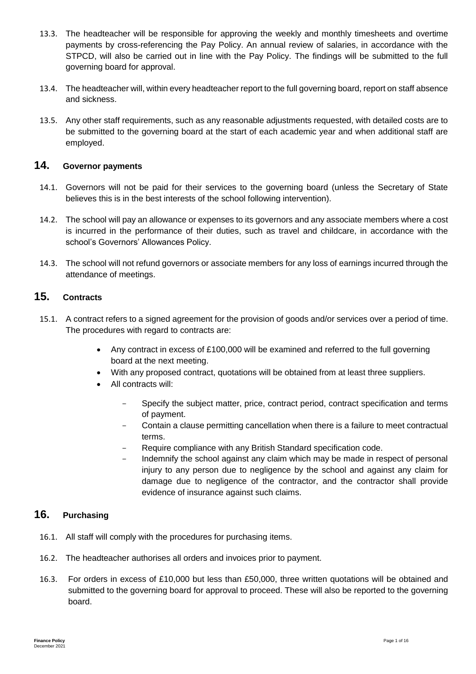- 13.3. The headteacher will be responsible for approving the weekly and monthly timesheets and overtime payments by cross-referencing the Pay Policy. An annual review of salaries, in accordance with the STPCD, will also be carried out in line with the Pay Policy. The findings will be submitted to the full governing board for approval.
- 13.4. The headteacher will, within every headteacher report to the full governing board, report on staff absence and sickness.
- 13.5. Any other staff requirements, such as any reasonable adjustments requested, with detailed costs are to be submitted to the governing board at the start of each academic year and when additional staff are employed.

### <span id="page-11-0"></span>**14. Governor payments**

- 14.1. Governors will not be paid for their services to the governing board (unless the Secretary of State believes this is in the best interests of the school following intervention).
- 14.2. The school will pay an allowance or expenses to its governors and any associate members where a cost is incurred in the performance of their duties, such as travel and childcare, in accordance with the school's Governors' Allowances Policy.
- 14.3. The school will not refund governors or associate members for any loss of earnings incurred through the attendance of meetings.

### <span id="page-11-1"></span>**15. Contracts**

- 15.1. A contract refers to a signed agreement for the provision of goods and/or services over a period of time. The procedures with regard to contracts are:
	- Any contract in excess of  $£100,000$  will be examined and referred to the full governing board at the next meeting.
	- With any proposed contract, quotations will be obtained from at least three suppliers.
	- All contracts will:
		- Specify the subject matter, price, contract period, contract specification and terms of payment.
		- Contain a clause permitting cancellation when there is a failure to meet contractual terms.
		- Require compliance with any British Standard specification code.
		- Indemnify the school against any claim which may be made in respect of personal injury to any person due to negligence by the school and against any claim for damage due to negligence of the contractor, and the contractor shall provide evidence of insurance against such claims.

# <span id="page-11-2"></span>**16. Purchasing**

- 16.1. All staff will comply with the procedures for purchasing items.
- 16.2. The headteacher authorises all orders and invoices prior to payment.
- 16.3. For orders in excess of £10,000 but less than £50,000, three written quotations will be obtained and submitted to the governing board for approval to proceed. These will also be reported to the governing board.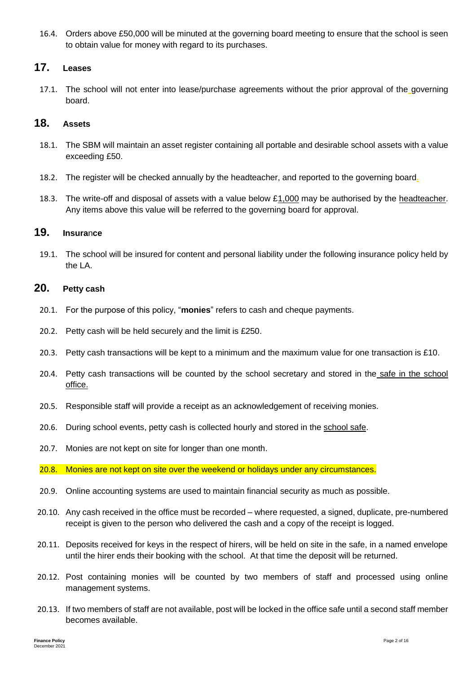16.4. Orders above £50,000 will be minuted at the governing board meeting to ensure that the school is seen to obtain value for money with regard to its purchases.

# <span id="page-12-0"></span>**17. Leases**

17.1. The school will not enter into lease/purchase agreements without the prior approval of the governing board.

### <span id="page-12-1"></span>**18. Assets**

- 18.1. The SBM will maintain an asset register containing all portable and desirable school assets with a value exceeding £50.
- 18.2. The register will be checked annually by the headteacher, and reported to the governing board**.**
- 18.3. The write-off and disposal of assets with a value below £1,000 may be authorised by the headteacher. Any items above this value will be referred to the governing board for approval.

#### <span id="page-12-2"></span>**19. Insura**n**ce**

19.1. The school will be insured for content and personal liability under the following insurance policy held by the LA.

#### <span id="page-12-3"></span>**20. Petty cash**

- 20.1. For the purpose of this policy, "**monies**" refers to cash and cheque payments.
- 20.2. Petty cash will be held securely and the limit is £250.
- 20.3. Petty cash transactions will be kept to a minimum and the maximum value for one transaction is £10.
- 20.4. Petty cash transactions will be counted by the school secretary and stored in the safe in the school office.
- 20.5. Responsible staff will provide a receipt as an acknowledgement of receiving monies.
- 20.6. During school events, petty cash is collected hourly and stored in the school safe.
- 20.7. Monies are not kept on site for longer than one month.

20.8. Monies are not kept on site over the weekend or holidays under any circumstances.

- 20.9. Online accounting systems are used to maintain financial security as much as possible.
- 20.10. Any cash received in the office must be recorded where requested, a signed, duplicate, pre-numbered receipt is given to the person who delivered the cash and a copy of the receipt is logged.
- 20.11. Deposits received for keys in the respect of hirers, will be held on site in the safe, in a named envelope until the hirer ends their booking with the school. At that time the deposit will be returned.
- 20.12. Post containing monies will be counted by two members of staff and processed using online management systems.
- 20.13. If two members of staff are not available, post will be locked in the office safe until a second staff member becomes available.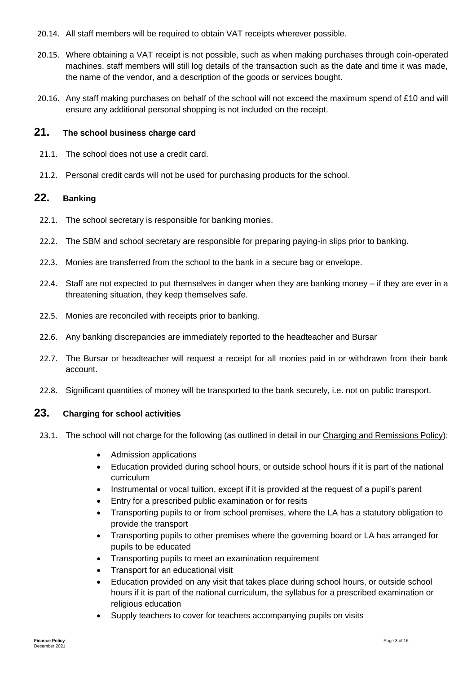- 20.14. All staff members will be required to obtain VAT receipts wherever possible.
- 20.15. Where obtaining a VAT receipt is not possible, such as when making purchases through coin-operated machines, staff members will still log details of the transaction such as the date and time it was made, the name of the vendor, and a description of the goods or services bought.
- 20.16. Any staff making purchases on behalf of the school will not exceed the maximum spend of £10 and will ensure any additional personal shopping is not included on the receipt.

### <span id="page-13-0"></span>**21. The school business charge card**

- 21.1. The school does not use a credit card.
- 21.2. Personal credit cards will not be used for purchasing products for the school.

# <span id="page-13-1"></span>**22. Banking**

- 22.1. The school secretary is responsible for banking monies.
- 22.2. The SBM and school secretary are responsible for preparing paying-in slips prior to banking.
- 22.3. Monies are transferred from the school to the bank in a secure bag or envelope.
- 22.4. Staff are not expected to put themselves in danger when they are banking money if they are ever in a threatening situation, they keep themselves safe.
- 22.5. Monies are reconciled with receipts prior to banking.
- 22.6. Any banking discrepancies are immediately reported to the headteacher and Bursar
- 22.7. The Bursar or headteacher will request a receipt for all monies paid in or withdrawn from their bank account.
- 22.8. Significant quantities of money will be transported to the bank securely, i.e. not on public transport.

#### **23. Charging for school activities**

- 23.1. The school will not charge for the following (as outlined in detail in our Charging and Remissions Policy):
	- Admission applications
	- Education provided during school hours, or outside school hours if it is part of the national curriculum
	- Instrumental or vocal tuition, except if it is provided at the request of a pupil's parent
	- Entry for a prescribed public examination or for resits
	- Transporting pupils to or from school premises, where the LA has a statutory obligation to provide the transport
	- Transporting pupils to other premises where the governing board or LA has arranged for pupils to be educated
	- Transporting pupils to meet an examination requirement
	- Transport for an educational visit
	- Education provided on any visit that takes place during school hours, or outside school hours if it is part of the national curriculum, the syllabus for a prescribed examination or religious education
	- Supply teachers to cover for teachers accompanying pupils on visits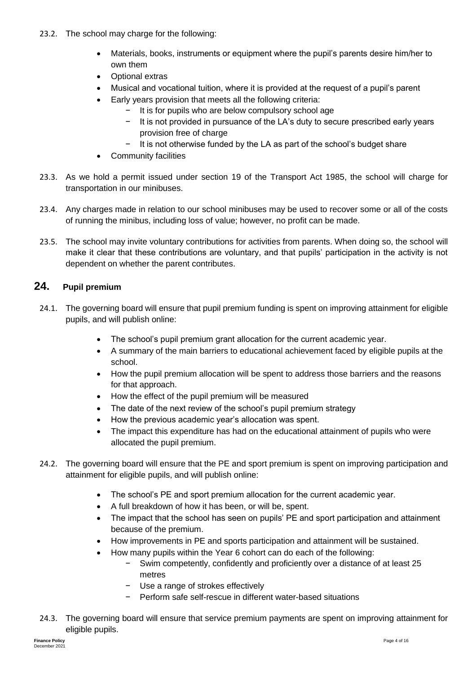- 23.2. The school may charge for the following:
	- Materials, books, instruments or equipment where the pupil's parents desire him/her to own them
	- Optional extras
	- Musical and vocational tuition, where it is provided at the request of a pupil's parent
	- Early years provision that meets all the following criteria:
		- − It is for pupils who are below compulsory school age
		- It is not provided in pursuance of the LA's duty to secure prescribed early years provision free of charge
		- It is not otherwise funded by the LA as part of the school's budget share
	- Community facilities
- 23.3. As we hold a permit issued under section 19 of the Transport Act 1985, the school will charge for transportation in our minibuses.
- 23.4. Any charges made in relation to our school minibuses may be used to recover some or all of the costs of running the minibus, including loss of value; however, no profit can be made.
- 23.5. The school may invite voluntary contributions for activities from parents. When doing so, the school will make it clear that these contributions are voluntary, and that pupils' participation in the activity is not dependent on whether the parent contributes.

# <span id="page-14-0"></span>**24. Pupil premium**

- 24.1. The governing board will ensure that pupil premium funding is spent on improving attainment for eligible pupils, and will publish online:
	- The school's pupil premium grant allocation for the current academic year.
	- A summary of the main barriers to educational achievement faced by eligible pupils at the school.
	- How the pupil premium allocation will be spent to address those barriers and the reasons for that approach.
	- How the effect of the pupil premium will be measured
	- The date of the next review of the school's pupil premium strategy
	- How the previous academic year's allocation was spent.
	- The impact this expenditure has had on the educational attainment of pupils who were allocated the pupil premium.
- 24.2. The governing board will ensure that the PE and sport premium is spent on improving participation and attainment for eligible pupils, and will publish online:
	- The school's PE and sport premium allocation for the current academic year.
	- A full breakdown of how it has been, or will be, spent.
	- The impact that the school has seen on pupils' PE and sport participation and attainment because of the premium.
	- How improvements in PE and sports participation and attainment will be sustained.
	- How many pupils within the Year 6 cohort can do each of the following:
		- Swim competently, confidently and proficiently over a distance of at least 25 metres
		- − Use a range of strokes effectively
		- − Perform safe self-rescue in different water-based situations
- 24.3. The governing board will ensure that service premium payments are spent on improving attainment for eligible pupils.